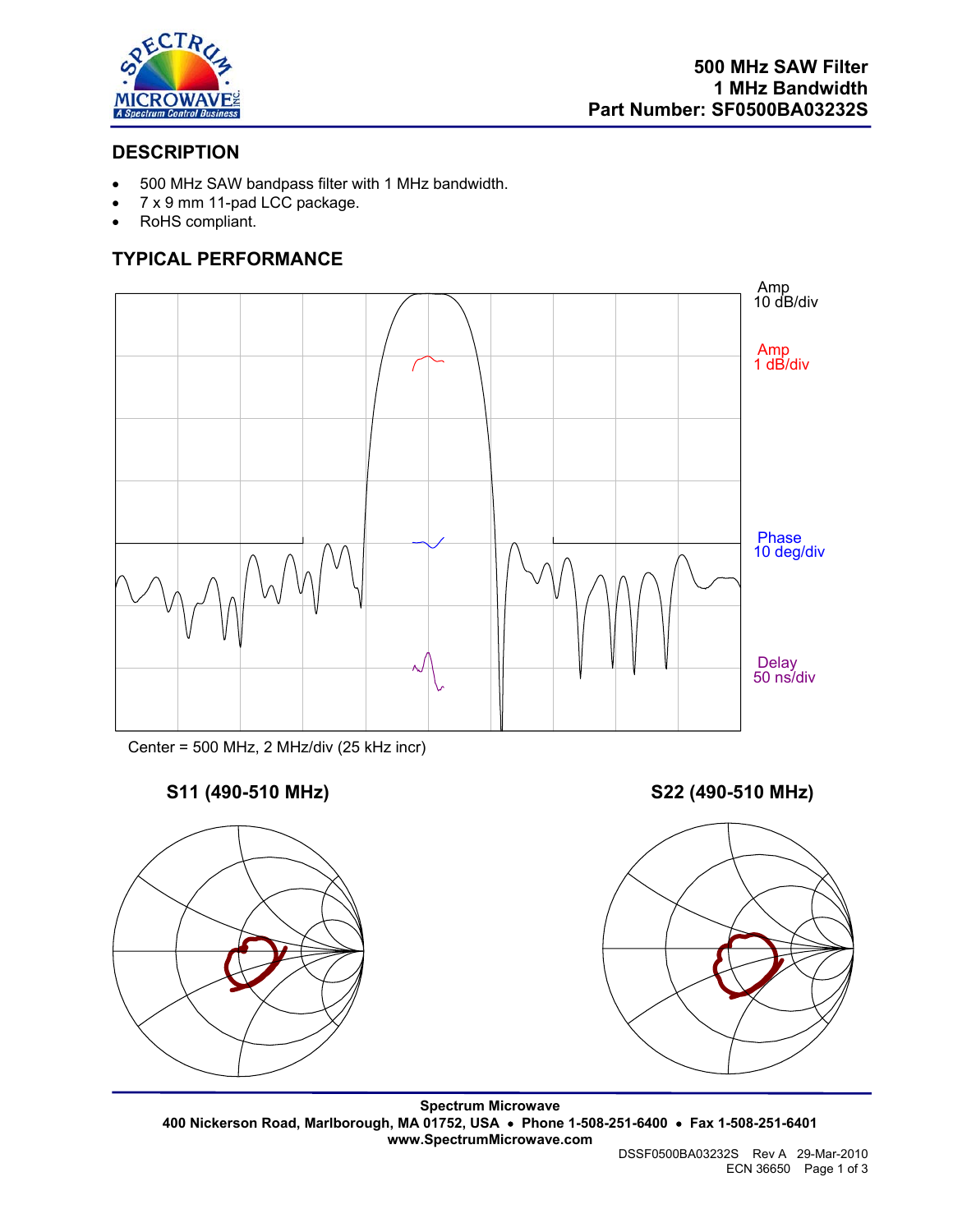

### **DESCRIPTION**

- 500 MHz SAW bandpass filter with 1 MHz bandwidth.
- 7 x 9 mm 11-pad LCC package.
- RoHS compliant.

## **TYPICAL PERFORMANCE**



Center = 500 MHz, 2 MHz/div (25 kHz incr)

# **S11 (490-510 MHz) S22 (490-510 MHz)**





**Spectrum Microwave 400 Nickerson Road, Marlborough, MA 01752, USA** • **Phone 1-508-251-6400** • **Fax 1-508-251-6401 www.SpectrumMicrowave.com** 

DSSF0500BA03232S Rev A 29-Mar-2010 ECN 36650 Page 1 of 3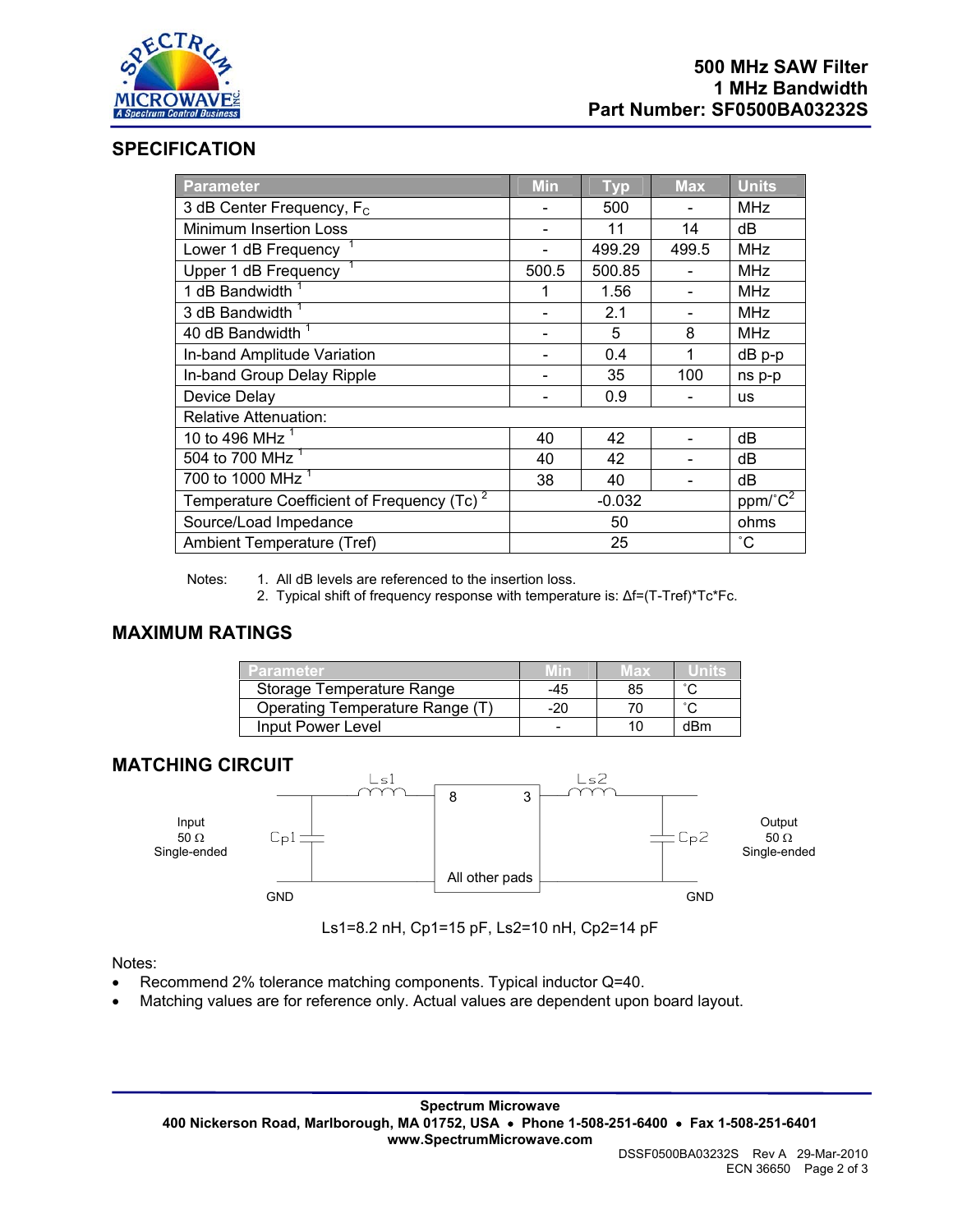

### **SPECIFICATION**

| Parameter                                              | <b>Min</b> | <b>Typ</b> | <b>Max</b> | <b>Units</b>        |  |
|--------------------------------------------------------|------------|------------|------------|---------------------|--|
| 3 dB Center Frequency, $F_c$                           |            | 500        |            | MHz                 |  |
| <b>Minimum Insertion Loss</b>                          |            | 11         | 14         | dB                  |  |
| Lower 1 dB Frequency                                   |            | 499.29     | 499.5      | <b>MHz</b>          |  |
| Upper 1 dB Frequency <sup>1</sup>                      | 500.5      | 500.85     |            | <b>MHz</b>          |  |
| 1 dB Bandwidth                                         |            | 1.56       |            | <b>MHz</b>          |  |
| 3 dB Bandwidth <sup>1</sup>                            |            | 2.1        |            | <b>MHz</b>          |  |
| 40 dB Bandwidth <sup>1</sup>                           |            | 5          | 8          | <b>MHz</b>          |  |
| In-band Amplitude Variation                            |            | 0.4        | 1          | dB p-p              |  |
| In-band Group Delay Ripple                             |            | 35         | 100        | ns p-p              |  |
| Device Delay                                           |            | 0.9        |            | <b>us</b>           |  |
| <b>Relative Attenuation:</b>                           |            |            |            |                     |  |
| 10 to 496 MHz $^1$                                     | 40         | 42         |            | dB                  |  |
| 504 to 700 MHz <sup>1</sup>                            | 40         | 42         |            | dB                  |  |
| 700 to 1000 MHz <sup>1</sup>                           | 38         | 40         |            | dB                  |  |
| Temperature Coefficient of Frequency (Tc) <sup>2</sup> | $-0.032$   |            |            | ppm/°C <sup>2</sup> |  |
| Source/Load Impedance                                  | 50         |            |            | ohms                |  |
| <b>Ambient Temperature (Tref)</b>                      | 25         |            |            | $\rm ^{\circ}C$     |  |

Notes: 1. All dB levels are referenced to the insertion loss.

2. Typical shift of frequency response with temperature is: ∆f=(T-Tref)\*Tc\*Fc.

#### **MAXIMUM RATINGS**

| Parameter.                      |     | lax |     |
|---------------------------------|-----|-----|-----|
| Storage Temperature Range       | -45 | 85  |     |
| Operating Temperature Range (T) | -20 |     |     |
| Input Power Level               |     |     | dBm |

### **MATCHING CIRCUIT**



Ls1=8.2 nH, Cp1=15 pF, Ls2=10 nH, Cp2=14 pF

Notes:

- Recommend 2% tolerance matching components. Typical inductor Q=40.
- Matching values are for reference only. Actual values are dependent upon board layout.